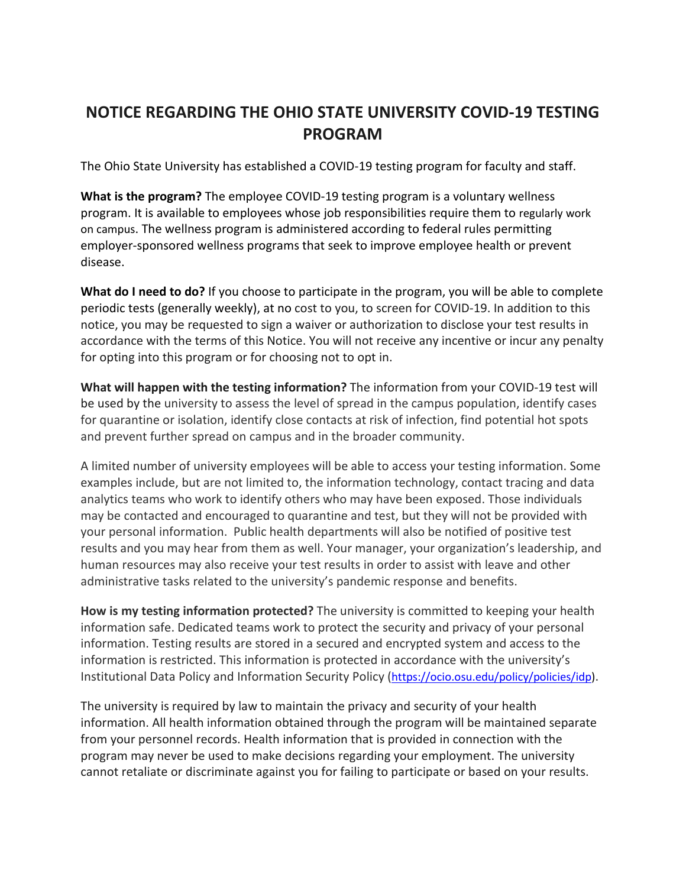## **NOTICE REGARDING THE OHIO STATE UNIVERSITY COVID-19 TESTING PROGRAM**

The Ohio State University has established a COVID-19 testing program for faculty and staff.

**What is the program?** The employee COVID-19 testing program is a voluntary wellness program. It is available to employees whose job responsibilities require them to regularly work on campus. The wellness program is administered according to federal rules permitting employer-sponsored wellness programs that seek to improve employee health or prevent disease.

**What do I need to do?** If you choose to participate in the program, you will be able to complete periodic tests (generally weekly), at no cost to you, to screen for COVID-19. In addition to this notice, you may be requested to sign a waiver or authorization to disclose your test results in accordance with the terms of this Notice. You will not receive any incentive or incur any penalty for opting into this program or for choosing not to opt in.

**What will happen with the testing information?** The information from your COVID-19 test will be used by the university to assess the level of spread in the campus population, identify cases for quarantine or isolation, identify close contacts at risk of infection, find potential hot spots and prevent further spread on campus and in the broader community.

A limited number of university employees will be able to access your testing information. Some examples include, but are not limited to, the information technology, contact tracing and data analytics teams who work to identify others who may have been exposed. Those individuals may be contacted and encouraged to quarantine and test, but they will not be provided with your personal information. Public health departments will also be notified of positive test results and you may hear from them as well. Your manager, your organization's leadership, and human resources may also receive your test results in order to assist with leave and other administrative tasks related to the university's pandemic response and benefits.

**How is my testing information protected?** The university is committed to keeping your health information safe. Dedicated teams work to protect the security and privacy of your personal information. Testing results are stored in a secured and encrypted system and access to the information is restricted. This information is protected in accordance with the university's Institutional Data Policy and Information Security Policy [\(https://ocio.osu.edu/policy/policies/idp\)](https://ocio.osu.edu/policy/policies/idp).

The university is required by law to maintain the privacy and security of your health information. All health information obtained through the program will be maintained separate from your personnel records. Health information that is provided in connection with the program may never be used to make decisions regarding your employment. The university cannot retaliate or discriminate against you for failing to participate or based on your results.